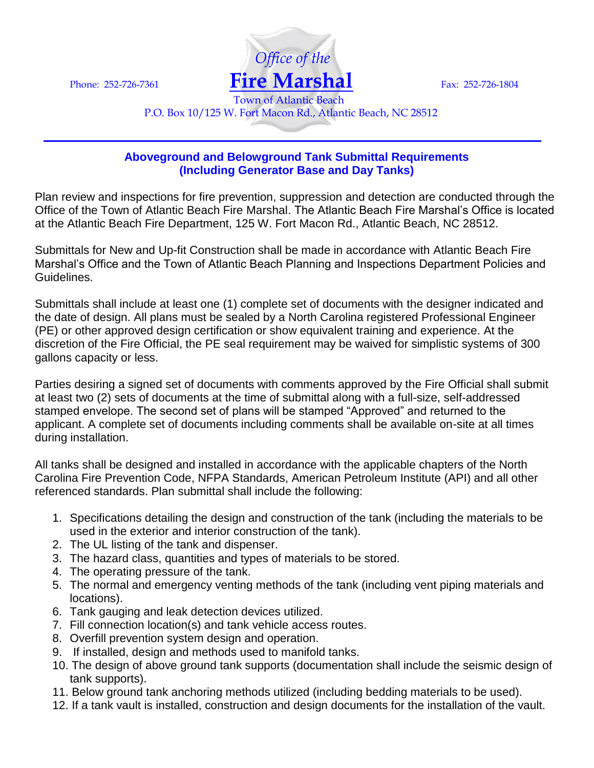

P.O. Box 10/125 W. Fort Macon Rd., Atlantic Beach, NC 28512

## **Aboveground and Belowground Tank Submittal Requirements (Including Generator Base and Day Tanks)**

Plan review and inspections for fire prevention, suppression and detection are conducted through the Office of the Town of Atlantic Beach Fire Marshal. The Atlantic Beach Fire Marshal's Office is located at the Atlantic Beach Fire Department, 125 W. Fort Macon Rd., Atlantic Beach, NC 28512.

Submittals for New and Up-fit Construction shall be made in accordance with Atlantic Beach Fire Marshal's Office and the Town of Atlantic Beach Planning and Inspections Department Policies and Guidelines.

Submittals shall include at least one (1) complete set of documents with the designer indicated and the date of design. All plans must be sealed by a North Carolina registered Professional Engineer (PE) or other approved design certification or show equivalent training and experience. At the discretion of the Fire Official, the PE seal requirement may be waived for simplistic systems of 300 gallons capacity or less.

Parties desiring a signed set of documents with comments approved by the Fire Official shall submit at least two (2) sets of documents at the time of submittal along with a full-size, self-addressed stamped envelope. The second set of plans will be stamped "Approved" and returned to the applicant. A complete set of documents including comments shall be available on-site at all times during installation.

All tanks shall be designed and installed in accordance with the applicable chapters of the North Carolina Fire Prevention Code, NFPA Standards, American Petroleum Institute (API) and all other referenced standards. Plan submittal shall include the following:

- 1. Specifications detailing the design and construction of the tank (including the materials to be used in the exterior and interior construction of the tank).
- 2. The UL listing of the tank and dispenser.
- 3. The hazard class, quantities and types of materials to be stored.
- 4. The operating pressure of the tank.
- 5. The normal and emergency venting methods of the tank (including vent piping materials and locations).
- 6. Tank gauging and leak detection devices utilized.
- 7. Fill connection location(s) and tank vehicle access routes.
- 8. Overfill prevention system design and operation.
- 9. If installed, design and methods used to manifold tanks.
- 10. The design of above ground tank supports (documentation shall include the seismic design of tank supports).
- 11. Below ground tank anchoring methods utilized (including bedding materials to be used).
- 12. If a tank vault is installed, construction and design documents for the installation of the vault.